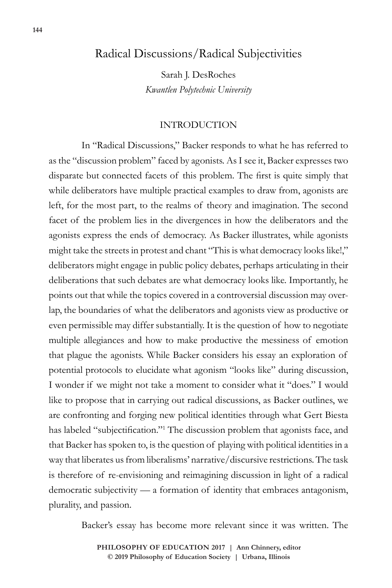## Radical Discussions/Radical Subjectivities

Sarah J. DesRoches *Kwantlen Polytechnic University*

## INTRODUCTION

In "Radical Discussions," Backer responds to what he has referred to as the "discussion problem" faced by agonists. As I see it, Backer expresses two disparate but connected facets of this problem. The first is quite simply that while deliberators have multiple practical examples to draw from, agonists are left, for the most part, to the realms of theory and imagination. The second facet of the problem lies in the divergences in how the deliberators and the agonists express the ends of democracy. As Backer illustrates, while agonists might take the streets in protest and chant "This is what democracy looks like!," deliberators might engage in public policy debates, perhaps articulating in their deliberations that such debates are what democracy looks like. Importantly, he points out that while the topics covered in a controversial discussion may overlap, the boundaries of what the deliberators and agonists view as productive or even permissible may differ substantially. It is the question of how to negotiate multiple allegiances and how to make productive the messiness of emotion that plague the agonists. While Backer considers his essay an exploration of potential protocols to elucidate what agonism "looks like" during discussion, I wonder if we might not take a moment to consider what it "does." I would like to propose that in carrying out radical discussions, as Backer outlines, we are confronting and forging new political identities through what Gert Biesta has labeled "subjectification."<sup>1</sup> The discussion problem that agonists face, and that Backer has spoken to, is the question of playing with political identities in a way that liberates us from liberalisms' narrative/discursive restrictions. The task is therefore of re-envisioning and reimagining discussion in light of a radical democratic subjectivity — a formation of identity that embraces antagonism, plurality, and passion.

Backer's essay has become more relevant since it was written. The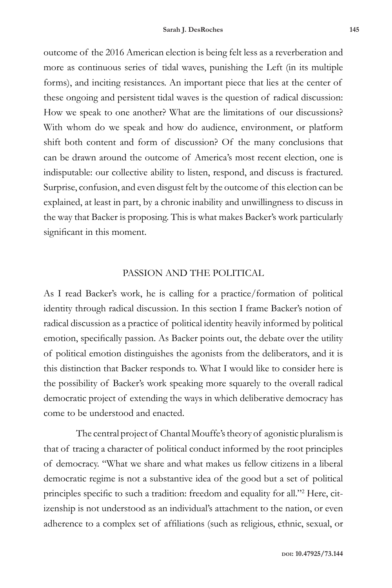outcome of the 2016 American election is being felt less as a reverberation and more as continuous series of tidal waves, punishing the Left (in its multiple forms), and inciting resistances. An important piece that lies at the center of these ongoing and persistent tidal waves is the question of radical discussion: How we speak to one another? What are the limitations of our discussions? With whom do we speak and how do audience, environment, or platform shift both content and form of discussion? Of the many conclusions that can be drawn around the outcome of America's most recent election, one is indisputable: our collective ability to listen, respond, and discuss is fractured. Surprise, confusion, and even disgust felt by the outcome of this election can be explained, at least in part, by a chronic inability and unwillingness to discuss in the way that Backer is proposing. This is what makes Backer's work particularly significant in this moment.

## PASSION AND THE POLITICAL

As I read Backer's work, he is calling for a practice/formation of political identity through radical discussion. In this section I frame Backer's notion of radical discussion as a practice of political identity heavily informed by political emotion, specifically passion. As Backer points out, the debate over the utility of political emotion distinguishes the agonists from the deliberators, and it is this distinction that Backer responds to. What I would like to consider here is the possibility of Backer's work speaking more squarely to the overall radical democratic project of extending the ways in which deliberative democracy has come to be understood and enacted.

The central project of Chantal Mouffe's theory of agonistic pluralism is that of tracing a character of political conduct informed by the root principles of democracy. "What we share and what makes us fellow citizens in a liberal democratic regime is not a substantive idea of the good but a set of political principles specific to such a tradition: freedom and equality for all."<sup>2</sup> Here, citizenship is not understood as an individual's attachment to the nation, or even adherence to a complex set of affiliations (such as religious, ethnic, sexual, or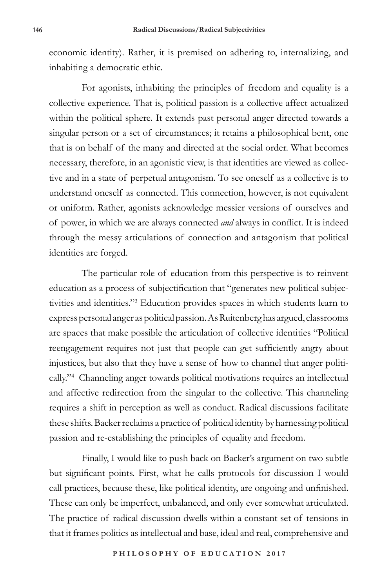economic identity). Rather, it is premised on adhering to, internalizing, and inhabiting a democratic ethic.

For agonists, inhabiting the principles of freedom and equality is a collective experience. That is, political passion is a collective affect actualized within the political sphere. It extends past personal anger directed towards a singular person or a set of circumstances; it retains a philosophical bent, one that is on behalf of the many and directed at the social order. What becomes necessary, therefore, in an agonistic view, is that identities are viewed as collective and in a state of perpetual antagonism. To see oneself as a collective is to understand oneself as connected. This connection, however, is not equivalent or uniform. Rather, agonists acknowledge messier versions of ourselves and of power, in which we are always connected *and* always in conflict. It is indeed through the messy articulations of connection and antagonism that political identities are forged.

The particular role of education from this perspective is to reinvent education as a process of subjectification that "generates new political subjectivities and identities."3 Education provides spaces in which students learn to express personal anger as political passion. As Ruitenberg has argued, classrooms are spaces that make possible the articulation of collective identities "Political reengagement requires not just that people can get sufficiently angry about injustices, but also that they have a sense of how to channel that anger politically."4 Channeling anger towards political motivations requires an intellectual and affective redirection from the singular to the collective. This channeling requires a shift in perception as well as conduct. Radical discussions facilitate these shifts. Backer reclaims a practice of political identity by harnessing political passion and re-establishing the principles of equality and freedom.

Finally, I would like to push back on Backer's argument on two subtle but significant points. First, what he calls protocols for discussion I would call practices, because these, like political identity, are ongoing and unfinished. These can only be imperfect, unbalanced, and only ever somewhat articulated. The practice of radical discussion dwells within a constant set of tensions in that it frames politics as intellectual and base, ideal and real, comprehensive and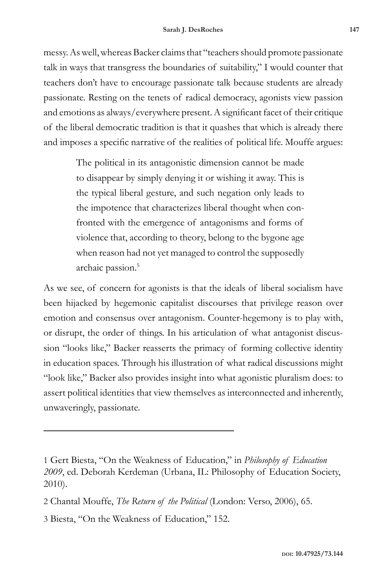messy. As well, whereas Backer claims that "teachers should promote passionate talk in ways that transgress the boundaries of suitability," I would counter that teachers don't have to encourage passionate talk because students are already passionate. Resting on the tenets of radical democracy, agonists view passion and emotions as always/everywhere present. A significant facet of their critique of the liberal democratic tradition is that it quashes that which is already there and imposes a specific narrative of the realities of political life. Mouffe argues:

> The political in its antagonistic dimension cannot be made to disappear by simply denying it or wishing it away. This is the typical liberal gesture, and such negation only leads to the impotence that characterizes liberal thought when confronted with the emergence of antagonisms and forms of violence that, according to theory, belong to the bygone age when reason had not yet managed to control the supposedly archaic passion.<sup>5</sup>

As we see, of concern for agonists is that the ideals of liberal socialism have been hijacked by hegemonic capitalist discourses that privilege reason over emotion and consensus over antagonism. Counter-hegemony is to play with, or disrupt, the order of things. In his articulation of what antagonist discussion "looks like," Backer reasserts the primacy of forming collective identity in education spaces. Through his illustration of what radical discussions might "look like," Backer also provides insight into what agonistic pluralism does: to assert political identities that view themselves as interconnected and inherently, unwaveringly, passionate.

<sup>1</sup> Gert Biesta, "On the Weakness of Education," in *Philosophy of Education 2009*, ed. Deborah Kerdeman (Urbana, IL: Philosophy of Education Society, 2010).

<sup>2</sup> Chantal Mouffe, *The Return of the Political* (London: Verso, 2006), 65.

<sup>3</sup> Biesta, "On the Weakness of Education," 152.